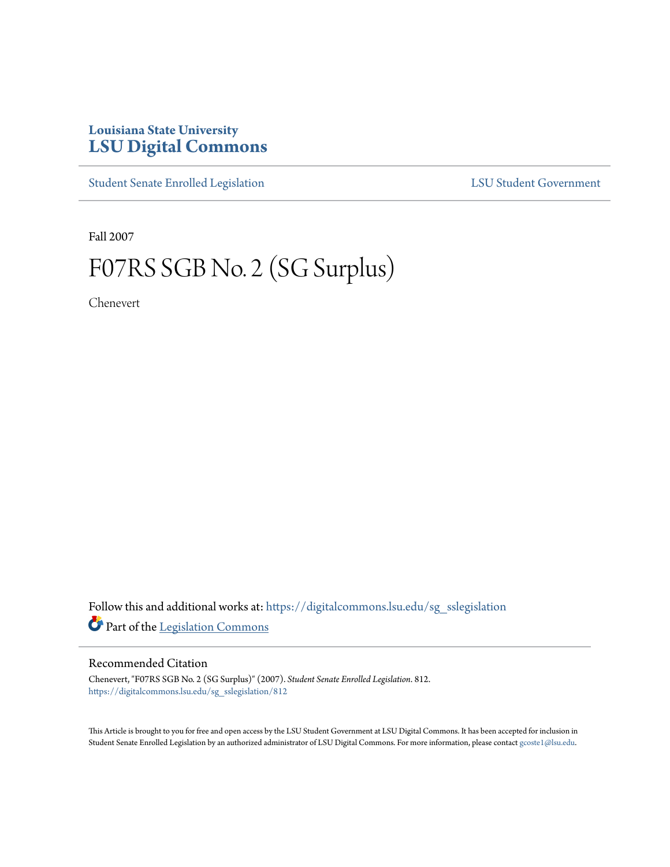## **Louisiana State University [LSU Digital Commons](https://digitalcommons.lsu.edu?utm_source=digitalcommons.lsu.edu%2Fsg_sslegislation%2F812&utm_medium=PDF&utm_campaign=PDFCoverPages)**

[Student Senate Enrolled Legislation](https://digitalcommons.lsu.edu/sg_sslegislation?utm_source=digitalcommons.lsu.edu%2Fsg_sslegislation%2F812&utm_medium=PDF&utm_campaign=PDFCoverPages) [LSU Student Government](https://digitalcommons.lsu.edu/sg?utm_source=digitalcommons.lsu.edu%2Fsg_sslegislation%2F812&utm_medium=PDF&utm_campaign=PDFCoverPages)

Fall 2007

# F07RS SGB No. 2 (SG Surplus)

Chenevert

Follow this and additional works at: [https://digitalcommons.lsu.edu/sg\\_sslegislation](https://digitalcommons.lsu.edu/sg_sslegislation?utm_source=digitalcommons.lsu.edu%2Fsg_sslegislation%2F812&utm_medium=PDF&utm_campaign=PDFCoverPages) Part of the [Legislation Commons](http://network.bepress.com/hgg/discipline/859?utm_source=digitalcommons.lsu.edu%2Fsg_sslegislation%2F812&utm_medium=PDF&utm_campaign=PDFCoverPages)

### Recommended Citation

Chenevert, "F07RS SGB No. 2 (SG Surplus)" (2007). *Student Senate Enrolled Legislation*. 812. [https://digitalcommons.lsu.edu/sg\\_sslegislation/812](https://digitalcommons.lsu.edu/sg_sslegislation/812?utm_source=digitalcommons.lsu.edu%2Fsg_sslegislation%2F812&utm_medium=PDF&utm_campaign=PDFCoverPages)

This Article is brought to you for free and open access by the LSU Student Government at LSU Digital Commons. It has been accepted for inclusion in Student Senate Enrolled Legislation by an authorized administrator of LSU Digital Commons. For more information, please contact [gcoste1@lsu.edu.](mailto:gcoste1@lsu.edu)